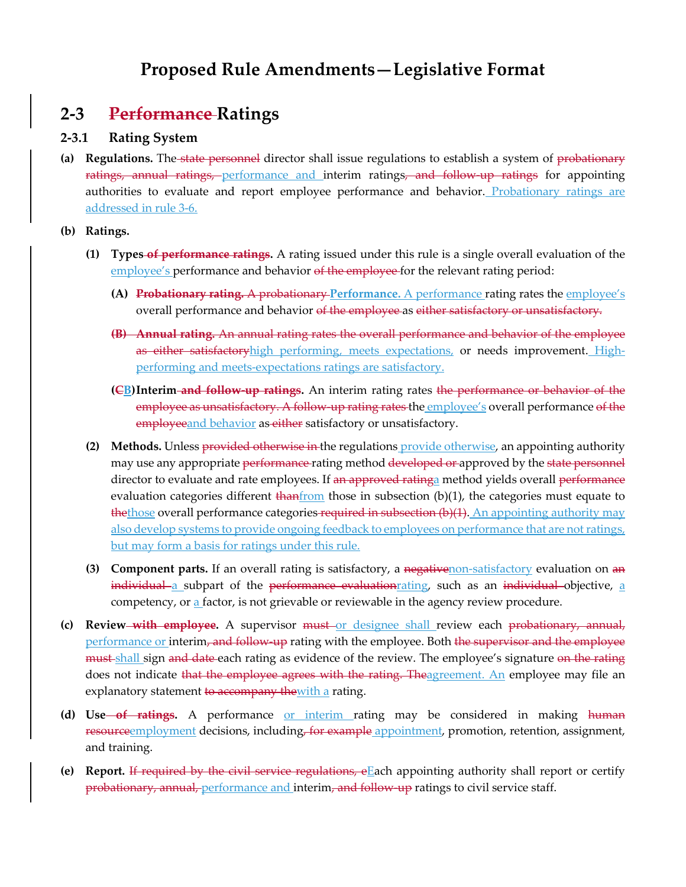# **Proposed Rule Amendments—Legislative Format**

## **2-3 Performance Ratings**

#### **2-3.1 Rating System**

**(a) Regulations.** The state personnel director shall issue regulations to establish a system of probationary ratings, annual ratings, performance and interim ratings, and follow-up ratings for appointing authorities to evaluate and report employee performance and behavior. Probationary ratings are addressed in rule 3-6.

**(b) Ratings.**

- **(1) Types of performance ratings.** A rating issued under this rule is a single overall evaluation of the employee's performance and behavior of the employee for the relevant rating period:
	- **(A) Probationary rating.** A probationary **Performance.** A performance rating rates the employee's overall performance and behavior of the employee as either satisfactory or unsatisfactory.
	- **(B) Annual rating.** An annual rating rates the overall performance and behavior of the employee as either satisfactoryhigh performing, meets expectations, or needs improvement. Highperforming and meets-expectations ratings are satisfactory.
	- **(CB)Interim and follow-up ratings.** An interim rating rates the performance or behavior of the employee as unsatisfactory. A follow-up rating rates the employee's overall performance of the employeeand behavior as either satisfactory or unsatisfactory.
- **(2) Methods.** Unless provided otherwise in the regulations provide otherwise, an appointing authority may use any appropriate performance rating method developed or approved by the state personnel director to evaluate and rate employees. If an approved ratinga method yields overall performance evaluation categories different  $\frac{1}{2}$  than  $f$  computed in subsection (b)(1), the categories must equate to thethose overall performance categories required in subsection (b)(1). An appointing authority may also develop systems to provide ongoing feedback to employees on performance that are not ratings, but may form a basis for ratings under this rule.
- **(3) Component parts.** If an overall rating is satisfactory, a negative non-satisfactory evaluation on an individual a subpart of the performance evaluationrating, such as an individual objective, a competency, or a factor, is not grievable or reviewable in the agency review procedure.
- **(c) Review**—with employee. A supervisor must or designee shall review each probationary, annual, performance or interim, and follow-up rating with the employee. Both the supervisor and the employee must shall sign and date each rating as evidence of the review. The employee's signature on the rating does not indicate that the employee agrees with the rating. The agreement. An employee may file an explanatory statement to accompany the with a rating.
- **(d) Use of ratings.** A performance or interim rating may be considered in making human resourceemployment decisions, including, for example appointment, promotion, retention, assignment, and training.
- **(e) Report.** If required by the civil service regulations, eEach appointing authority shall report or certify probationary, annual, performance and interim, and follow-up ratings to civil service staff.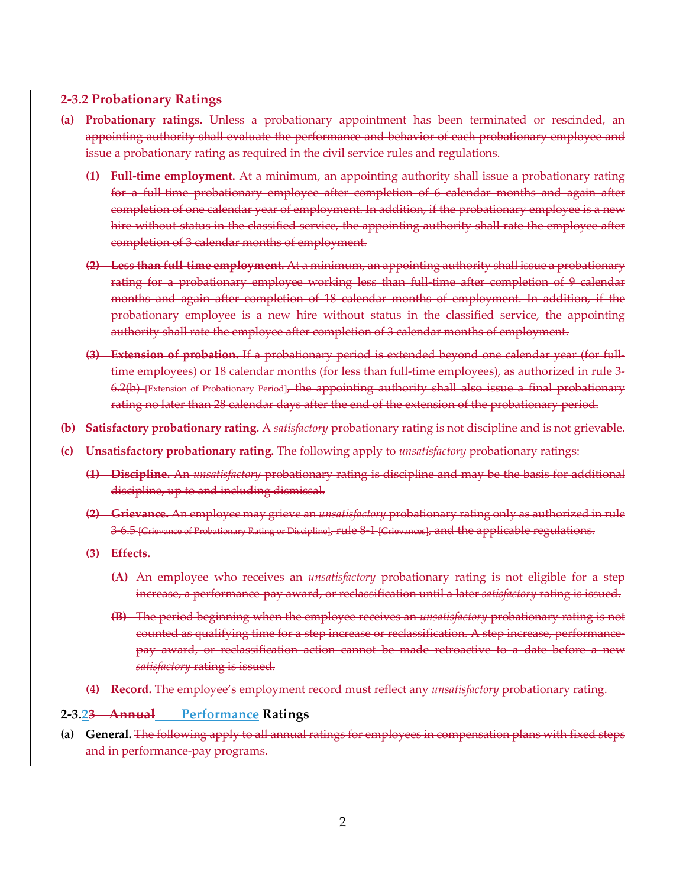#### **2-3.2 Probationary Ratings**

- **(a) Probationary ratings.** Unless a probationary appointment has been terminated or rescinded, an appointing authority shall evaluate the performance and behavior of each probationary employee and issue a probationary rating as required in the civil service rules and regulations.
	- **(1) Full-time employment.** At a minimum, an appointing authority shall issue a probationary rating for a full-time probationary employee after completion of 6 calendar months and again after completion of one calendar year of employment. In addition, if the probationary employee is a new hire without status in the classified service, the appointing authority shall rate the employee after completion of 3 calendar months of employment.
	- **(2) Less than full-time employment.** At a minimum, an appointing authority shall issue a probationary rating for a probationary employee working less than full-time after completion of 9 calendar months and again after completion of 18 calendar months of employment. In addition, if the probationary employee is a new hire without status in the classified service, the appointing authority shall rate the employee after completion of 3 calendar months of employment.
	- **(3) Extension of probation.** If a probationary period is extended beyond one calendar year (for fulltime employees) or 18 calendar months (for less than full-time employees), as authorized in rule 3-6.2(b) [Extension of Probationary Period], the appointing authority shall also issue a final probationary rating no later than 28 calendar days after the end of the extension of the probationary period.
- **(b) Satisfactory probationary rating.** A *satisfactory* probationary rating is not discipline and is not grievable.
- **(c) Unsatisfactory probationary rating.** The following apply to *unsatisfactory* probationary ratings:
	- **(1) Discipline.** An *unsatisfactory* probationary rating is discipline and may be the basis for additional discipline, up to and including dismissal.
	- **(2) Grievance.** An employee may grieve an *unsatisfactory* probationary rating only as authorized in rule 3-6.5 [Grievance of Probationary Rating or Discipline], rule 8-1 [Grievances], and the applicable regulations.
	- **(3) Effects.** 
		- **(A)** An employee who receives an *unsatisfactory* probationary rating is not eligible for a step increase, a performance-pay award, or reclassification until a later *satisfactory* rating is issued.
		- **(B)** The period beginning when the employee receives an *unsatisfactory* probationary rating is not counted as qualifying time for a step increase or reclassification. A step increase, performancepay award, or reclassification action cannot be made retroactive to a date before a new *satisfactory* rating is issued.
	- **(4) Record.** The employee's employment record must reflect any *unsatisfactory* probationary rating.

#### **2-3.23 Annual Performance Ratings**

**(a) General.** The following apply to all annual ratings for employees in compensation plans with fixed steps and in performance-pay programs.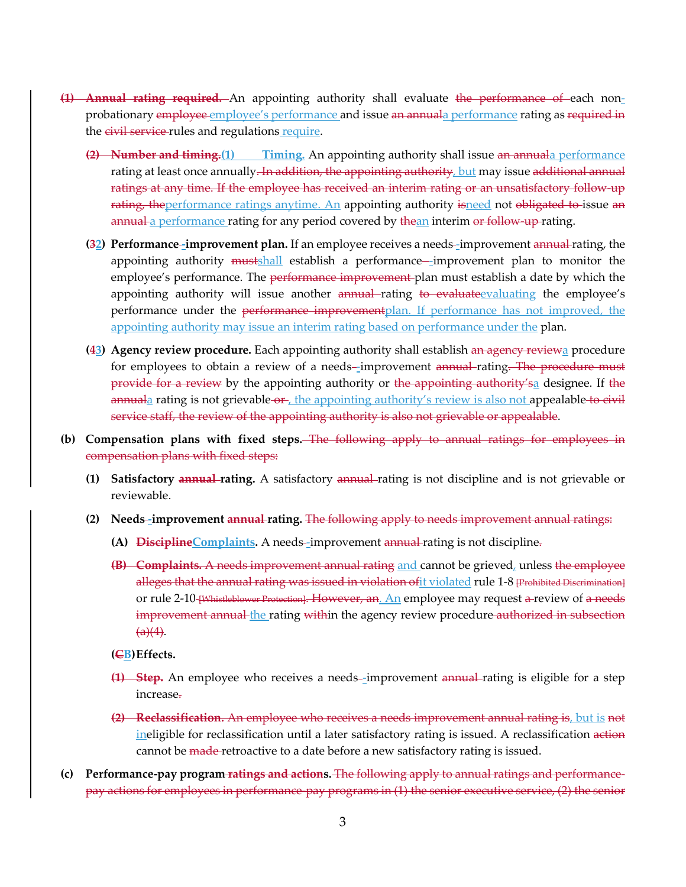- **(1) Annual rating required.** An appointing authority shall evaluate the performance of each nonprobationary employee employee's performance and issue an annual a performance rating as required in the civil service rules and regulations require.
	- **(2) Number and timing.(1) Timing.** An appointing authority shall issue an annuala performance rating at least once annually. In addition, the appointing authority, but may issue additional annual ratings at any time. If the employee has received an interim rating or an unsatisfactory follow-up rating, the performance ratings anytime. An appointing authority is need not obligated to issue an annual a performance rating for any period covered by thean interim or follow-up-rating.
	- **(32) Performance–improvement plan.** If an employee receives a needs–improvement annual rating, the appointing authority mustshall establish a performance-improvement plan to monitor the employee's performance. The performance improvement plan must establish a date by which the appointing authority will issue another annual rating to evaluate evaluating the employee's performance under the performance improvementplan. If performance has not improved, the appointing authority may issue an interim rating based on performance under the plan.
	- **(43) Agency review procedure.** Each appointing authority shall establish an agency reviewa procedure for employees to obtain a review of a needs-improvement annual rating. The procedure must provide for a review by the appointing authority or the appointing authority'sa designee. If the annuala rating is not grievable-or, the appointing authority's review is also not appealable to civil service staff, the review of the appointing authority is also not grievable or appealable.
- **(b) Compensation plans with fixed steps.** The following apply to annual ratings for employees in compensation plans with fixed steps:
	- **(1) Satisfactory annual rating.** A satisfactory annual rating is not discipline and is not grievable or reviewable.
	- **(2) Needs -improvement annual rating.** The following apply to needs improvement annual ratings:
		- **(A) DisciplineComplaints.** A needs -improvement annual rating is not discipline.
		- **(B) Complaints.** A needs improvement annual rating and cannot be grieved, unless the employee alleges that the annual rating was issued in violation of it violated rule 1-8 [Prohibited Discrimination] or rule 2-10 [Whistleblower Protection]. However, an. An employee may request a review of a needs improvement annual the rating within the agency review procedure authorized in subsection  $(a)(4)$ .

#### **(CB)Effects.**

- **(1) Step.** An employee who receives a needs–improvement annual rating is eligible for a step increase.
- **(2) Reclassification.** An employee who receives a needs improvement annual rating is, but is not ineligible for reclassification until a later satisfactory rating is issued. A reclassification action cannot be made-retroactive to a date before a new satisfactory rating is issued.
- **(c) Performance-pay program ratings and actions.** The following apply to annual ratings and performancepay actions for employees in performance-pay programs in (1) the senior executive service, (2) the senior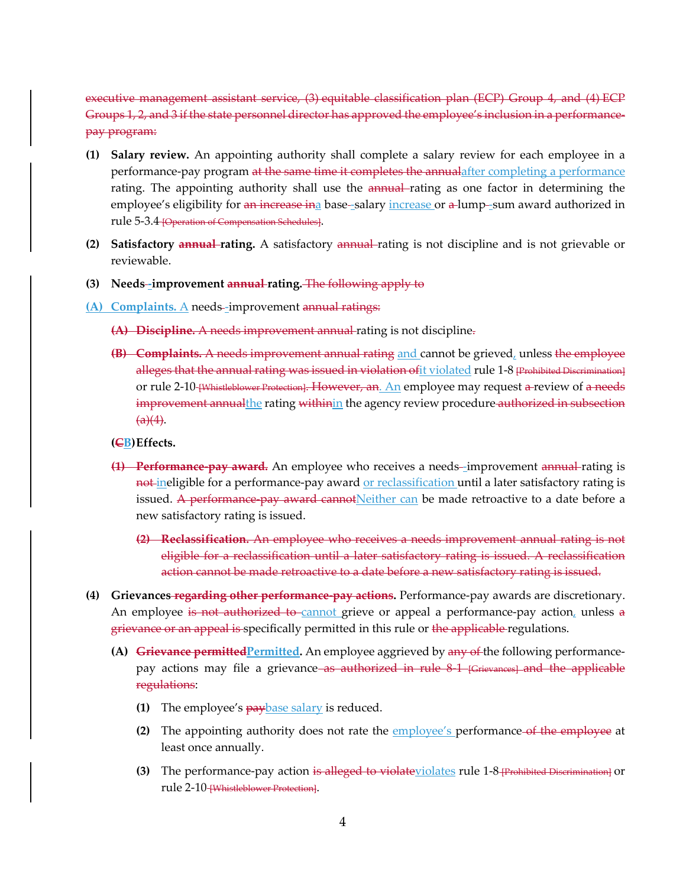executive management assistant service, (3) equitable classification plan (ECP) Group 4, and (4) ECP Groups 1, 2, and 3 if the state personnel director has approved the employee's inclusion in a performancepay program:

- **(1) Salary review.** An appointing authority shall complete a salary review for each employee in a performance-pay program at the same time it completes the annualafter completing a performance rating. The appointing authority shall use the annual rating as one factor in determining the employee's eligibility for an increase ina base-salary increase or a lump-sum award authorized in rule 5-3.4 [Operation of Compensation Schedules].
- **(2) Satisfactory annual rating.** A satisfactory annual rating is not discipline and is not grievable or reviewable.
- **(3) Needs -improvement annual rating.** The following apply to
- **(A) Complaints.** A needs -improvement annual ratings:
	- **(A) Discipline.** A needs improvement annual rating is not discipline.
	- **(B) Complaints.** A needs improvement annual rating and cannot be grieved, unless the employee alleges that the annual rating was issued in violation of it violated rule 1-8 [Prohibited Discrimination] or rule 2-10 [Whistleblower Protection]. However, an. An employee may request a review of a needs improvement annualthe rating withinin the agency review procedure authorized in subsection  $(a)(4)$ .

**(CB)Effects.**

- **(1) Performance-pay award.** An employee who receives a needs--improvement annual-rating is not ineligible for a performance-pay award or reclassification until a later satisfactory rating is issued. A performance-pay award cannotNeither can be made retroactive to a date before a new satisfactory rating is issued.
	- **(2) Reclassification.** An employee who receives a needs improvement annual rating is not eligible for a reclassification until a later satisfactory rating is issued. A reclassification action cannot be made retroactive to a date before a new satisfactory rating is issued.
- **(4) Grievances regarding other performance-pay actions.** Performance-pay awards are discretionary. An employee is not authorized to cannot grieve or appeal a performance-pay action, unless  $a$ grievance or an appeal is specifically permitted in this rule or the applicable regulations.
	- **(A)** Grievance permitted Permitted. An employee aggrieved by any of the following performancepay actions may file a grievance as authorized in rule 8-1 [Grievances] and the applicable regulations:
		- **(1)** The employee's paybase salary is reduced.
		- **(2)** The appointing authority does not rate the employee's performance of the employee at least once annually.
		- **(3)** The performance-pay action is alleged to violateviolates rule 1-8 prohibited Discrimination or rule 2-10-[Whistleblower Protection].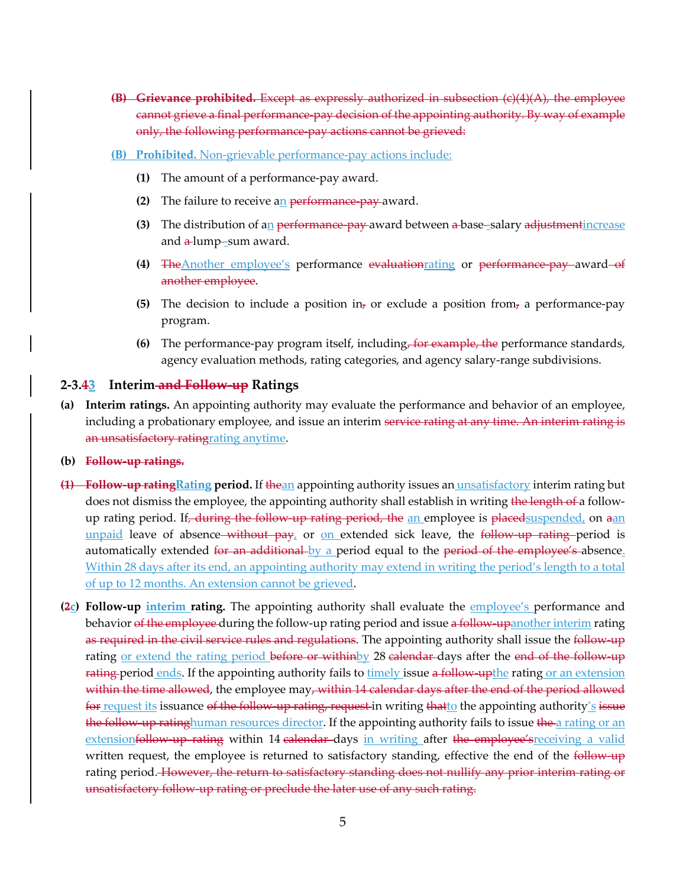- **(B) Grievance prohibited.** Except as expressly authorized in subsection (c)(4)(A), the employee cannot grieve a final performance-pay decision of the appointing authority. By way of example only, the following performance-pay actions cannot be grieved:
- **(B) Prohibited.** Non-grievable performance-pay actions include:
	- **(1)** The amount of a performance-pay award.
	- **(2)** The failure to receive an performance-pay award.
	- **(3)** The distribution of an performance-pay award between a-base-salary adjustment increase and  $\alpha$ -lump--sum award.
	- **(4)** TheAnother employee's performance evaluationrating or performance-pay award of another employee.
	- **(5)** The decision to include a position in<sub>7</sub> or exclude a position from<sub>7</sub> a performance-pay program.
	- **(6)** The performance-pay program itself, including, for example, the performance standards, agency evaluation methods, rating categories, and agency salary-range subdivisions.

#### **2-3.43 Interim and Follow-up Ratings**

- **(a) Interim ratings.** An appointing authority may evaluate the performance and behavior of an employee, including a probationary employee, and issue an interim service rating at any time. An interim rating is an unsatisfactory ratingrating anytime.
- **(b) Follow-up ratings.**
- **(1) Follow-up ratingRating period.** If thean appointing authority issues an unsatisfactory interim rating but does not dismiss the employee, the appointing authority shall establish in writing the length of a followup rating period. If, during the follow-up rating period, the an employee is placed suspended, on aan unpaid leave of absence without pay, or on extended sick leave, the follow-up rating period is automatically extended for an additional by a period equal to the period of the employee's absence. Within 28 days after its end, an appointing authority may extend in writing the period's length to a total of up to 12 months. An extension cannot be grieved.
- **(2c) Follow-up interim rating.** The appointing authority shall evaluate the employee's performance and behavior of the employee during the follow-up rating period and issue a follow-upanother interim rating as required in the civil service rules and regulations. The appointing authority shall issue the follow-up rating <u>or extend the rating period before or withinby</u> 28 calendar days after the end of the follow-up rating period ends. If the appointing authority fails to timely issue a follow-upthe rating or an extension within the time allowed, the employee may, within 14 calendar days after the end of the period allowed for request its issuance of the follow-up rating, request in writing that to the appointing authority's issue the follow-up ratinghuman resources director. If the appointing authority fails to issue the a rating or an extensionfollow-up rating within 14 calendar-days in writing after the employee's receiving a valid written request, the employee is returned to satisfactory standing, effective the end of the follow-up rating period. However, the return to satisfactory standing does not nullify any prior interim rating or unsatisfactory follow-up rating or preclude the later use of any such rating.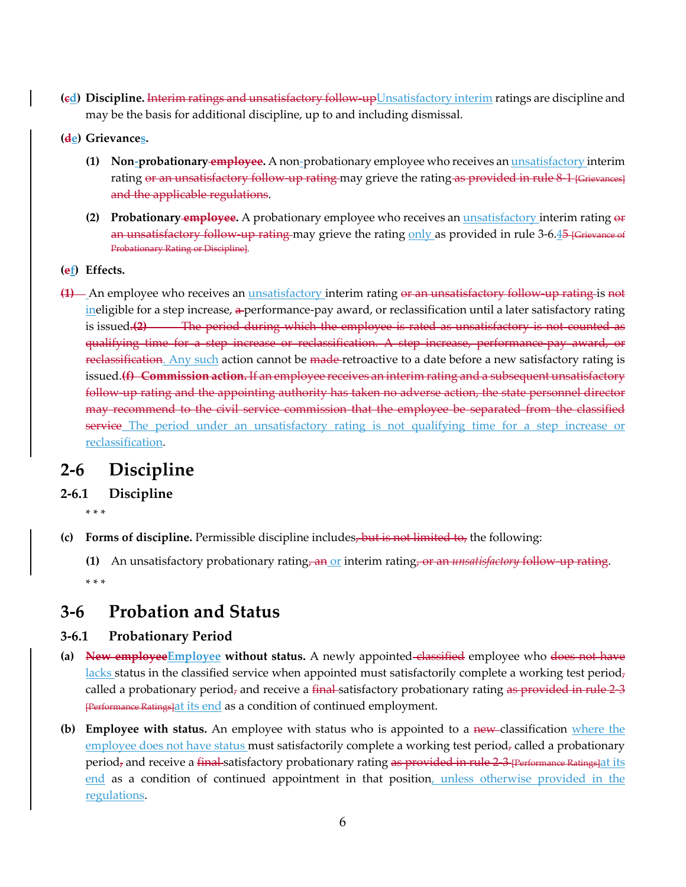- **(cd) Discipline.** Interim ratings and unsatisfactory follow-upUnsatisfactory interim ratings are discipline and may be the basis for additional discipline, up to and including dismissal.
- **(de) Grievances.**
	- **(1) Non-probationary employee.** A non-probationary employee who receives an unsatisfactory interim rating or an unsatisfactory follow-up rating may grieve the rating as provided in rule 8-1 [Grievances] and the applicable regulations.
	- **(2) Probationary employee.** A probationary employee who receives an unsatisfactory interim rating or an unsatisfactory follow-up rating may grieve the rating only as provided in rule 3-6.45 [Grievance of Probationary Rating or Discipline].
- **(ef) Effects.**
- **(1)** An employee who receives an unsatisfactory interim rating or an unsatisfactory follow-up rating is not ineligible for a step increase, a performance-pay award, or reclassification until a later satisfactory rating is issued.**(2)** The period during which the employee is rated as unsatisfactory is not counted as qualifying time for a step increase or reclassification. A step increase, performance-pay award, or reclassification. Any such action cannot be made-retroactive to a date before a new satisfactory rating is issued.**(f) Commission action.** If an employee receives an interim rating and a subsequent unsatisfactory follow-up rating and the appointing authority has taken no adverse action, the state personnel director may recommend to the civil service commission that the employee be separated from the classified service The period under an unsatisfactory rating is not qualifying time for a step increase or reclassification.

# **2-6 Discipline**

### **2-6.1 Discipline**

\* \* \*

- **(c) Forms of discipline.** Permissible discipline includes, but is not limited to, the following:
	- **(1)** An unsatisfactory probationary rating, an or interim rating, or an *unsatisfactory* follow-up rating. \* \* \*

## **3-6 Probation and Status**

### **3-6.1 Probationary Period**

- **(a) New employeeEmployee without status.** A newly appointed classified employee who does not have lacks status in the classified service when appointed must satisfactorily complete a working test period, called a probationary period<sub>7</sub> and receive a final satisfactory probationary rating as provided in rule 2-3 [Performance Ratings]at its end as a condition of continued employment.
- **(b) Employee with status.** An employee with status who is appointed to a new classification where the employee does not have status must satisfactorily complete a working test period<sub>7</sub> called a probationary period<sub>z</sub> and receive a <del>final</del> satisfactory probationary rating as provided in rule 2-3 [Performance Ratings]at its end as a condition of continued appointment in that position, unless otherwise provided in the regulations.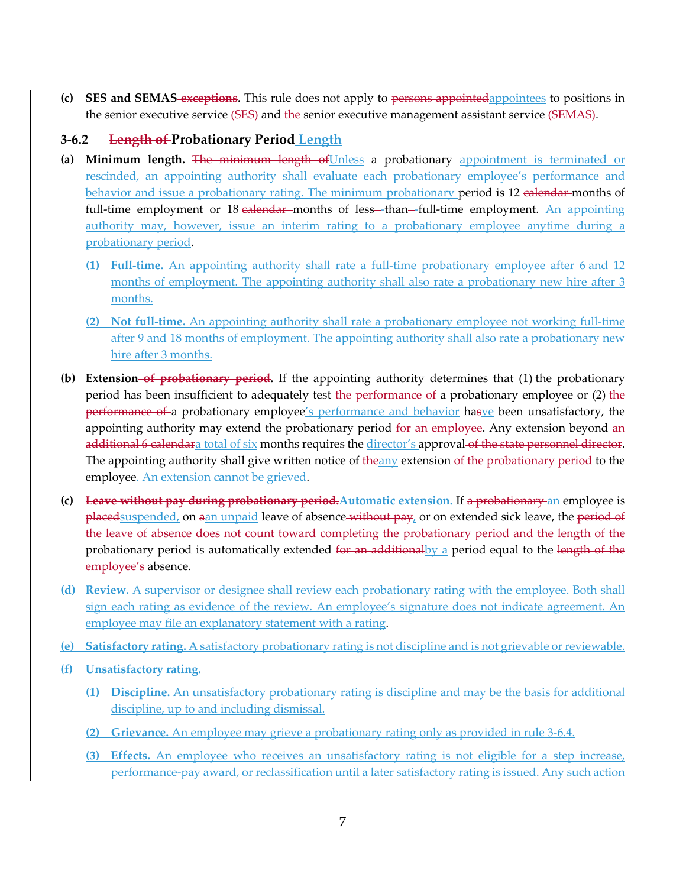**(c) SES and SEMAS exceptions.** This rule does not apply to persons appointedappointees to positions in the senior executive service (SES) and the senior executive management assistant service (SEMAS).

## **3-6.2 Length of Probationary Period Length**

- (a) Minimum length. The minimum length of Unless a probationary appointment is terminated or rescinded, an appointing authority shall evaluate each probationary employee's performance and behavior and issue a probationary rating. The minimum probationary period is 12 calendar-months of full-time employment or 18 calendar-months of less--than--full-time employment. An appointing authority may, however, issue an interim rating to a probationary employee anytime during a probationary period.
	- **(1) Full-time.** An appointing authority shall rate a full-time probationary employee after 6 and 12 months of employment. The appointing authority shall also rate a probationary new hire after 3 months.
	- **(2) Not full-time.** An appointing authority shall rate a probationary employee not working full-time after 9 and 18 months of employment. The appointing authority shall also rate a probationary new hire after 3 months.
- **(b) Extension of probationary period.** If the appointing authority determines that (1) the probationary period has been insufficient to adequately test the performance of a probationary employee or (2) the performance of a probationary employee's performance and behavior hasve been unsatisfactory, the appointing authority may extend the probationary period-for an employee. Any extension beyond an additional 6 calendara total of six months requires the director's approval of the state personnel director. The appointing authority shall give written notice of the any extension of the probationary period-to the employee. An extension cannot be grieved.
- **(c) Leave without pay during probationary period.Automatic extension.** If a probationary an employee is placedsuspended, on aan unpaid leave of absence-without pay, or on extended sick leave, the period of the leave of absence does not count toward completing the probationary period and the length of the probationary period is automatically extended for an additional by a period equal to the length of the employee's absence.
- **(d) Review.** A supervisor or designee shall review each probationary rating with the employee. Both shall sign each rating as evidence of the review. An employee's signature does not indicate agreement. An employee may file an explanatory statement with a rating.
- **(e) Satisfactory rating.** A satisfactory probationary rating is not discipline and is not grievable or reviewable.
- **(f) Unsatisfactory rating.**
	- **(1) Discipline.** An unsatisfactory probationary rating is discipline and may be the basis for additional discipline, up to and including dismissal.
	- **(2) Grievance.** An employee may grieve a probationary rating only as provided in rule 3-6.4.
	- **(3) Effects.** An employee who receives an unsatisfactory rating is not eligible for a step increase, performance-pay award, or reclassification until a later satisfactory rating is issued. Any such action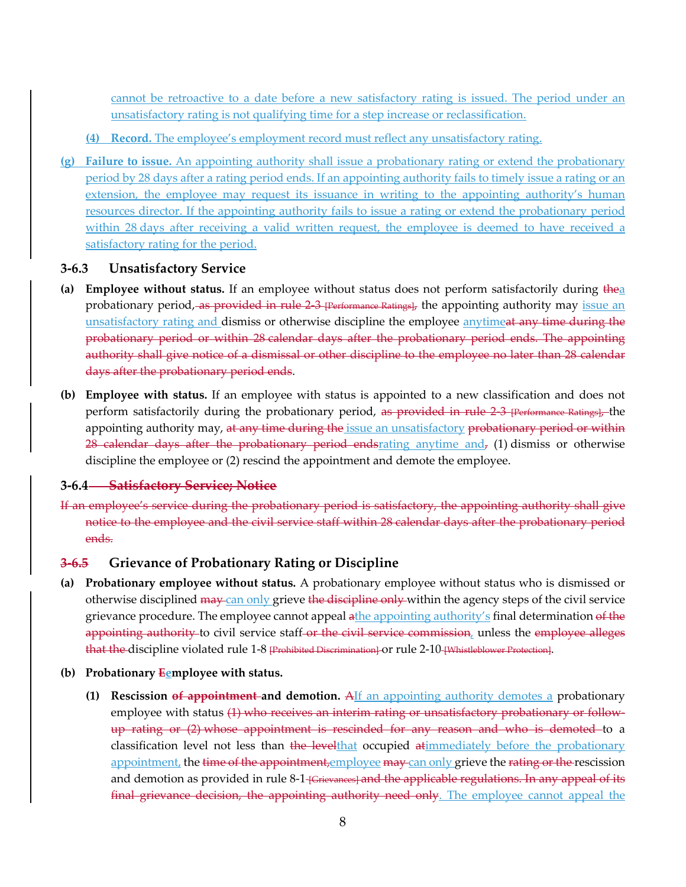cannot be retroactive to a date before a new satisfactory rating is issued. The period under an unsatisfactory rating is not qualifying time for a step increase or reclassification.

- **(4) Record.** The employee's employment record must reflect any unsatisfactory rating.
- **(g) Failure to issue.** An appointing authority shall issue a probationary rating or extend the probationary period by 28 days after a rating period ends. If an appointing authority fails to timely issue a rating or an extension, the employee may request its issuance in writing to the appointing authority's human resources director. If the appointing authority fails to issue a rating or extend the probationary period within 28 days after receiving a valid written request, the employee is deemed to have received a satisfactory rating for the period.

#### **3-6.3 Unsatisfactory Service**

- **(a) Employee without status.** If an employee without status does not perform satisfactorily during thea probationary period, as provided in rule 2-3 [Performance Ratings], the appointing authority may issue an unsatisfactory rating and dismiss or otherwise discipline the employee anytimeat any time during the probationary period or within 28 calendar days after the probationary period ends. The appointing authority shall give notice of a dismissal or other discipline to the employee no later than 28 calendar days after the probationary period ends.
- **(b) Employee with status.** If an employee with status is appointed to a new classification and does not perform satisfactorily during the probationary period, as provided in rule 2-3 [Performance Ratings], the appointing authority may, at any time during the issue an unsatisfactory probationary period or within 28 calendar days after the probationary period endstrating anytime and,  $(1)$  dismiss or otherwise discipline the employee or (2) rescind the appointment and demote the employee.

#### **3-6.4 Satisfactory Service; Notice**

If an employee's service during the probationary period is satisfactory, the appointing authority shall give notice to the employee and the civil service staff within 28 calendar days after the probationary period ends.

#### **3-6.5 Grievance of Probationary Rating or Discipline**

**(a) Probationary employee without status.** A probationary employee without status who is dismissed or otherwise disciplined may can only grieve the discipline only within the agency steps of the civil service grievance procedure. The employee cannot appeal athe appointing authority's final determination of the appointing authority to civil service staff or the civil service commission, unless the employee alleges that the discipline violated rule 1-8 Frohibited Discrimination or rule 2-10 [Whistleblower Protection].

#### **(b) Probationary Eemployee with status.**

**(1) Rescission of appointment and demotion.** AIf an appointing authority demotes a probationary employee with status (1) who receives an interim rating or unsatisfactory probationary or followup rating or (2) whose appointment is rescinded for any reason and who is demoted to a classification level not less than the levelthat occupied atimmediately before the probationary appointment, the time of the appointment, employee may can only grieve the rating or the rescission and demotion as provided in rule 8-1-<del>[Grievances] and the applicable regulations. In any appeal of its</del> final grievance decision, the appointing authority need only. The employee cannot appeal the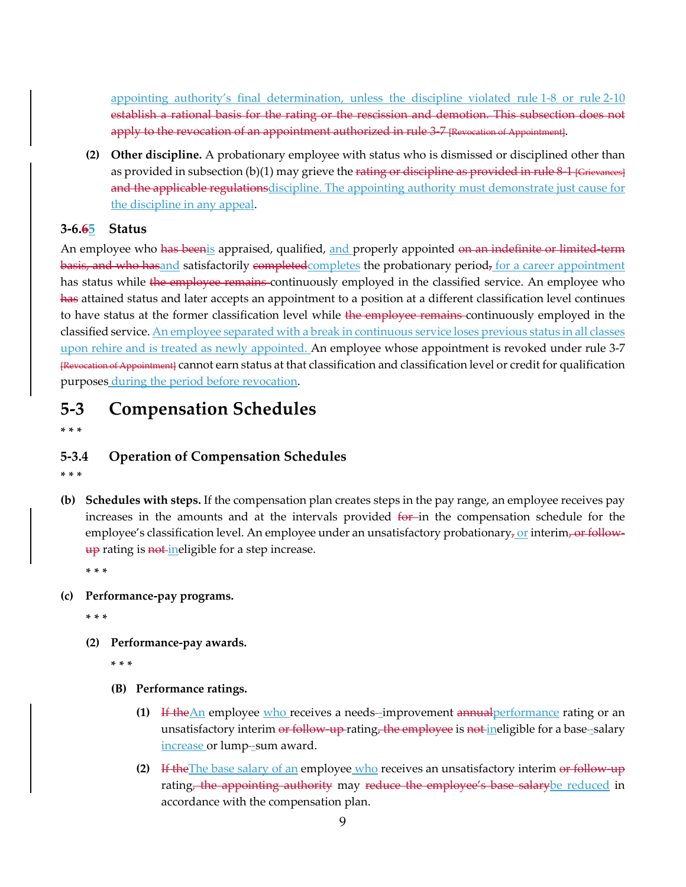appointing authority's final determination, unless the discipline violated rule 1-8 or rule 2-10 establish a rational basis for the rating or the rescission and demotion. This subsection does not apply to the revocation of an appointment authorized in rule 3-7 [Revocation of Appointment].

**(2) Other discipline.** A probationary employee with status who is dismissed or disciplined other than as provided in subsection  $(b)(1)$  may grieve the rating or discipline as provided in rule  $8-1$  [Grievances] and the applicable regulations discipline. The appointing authority must demonstrate just cause for the discipline in any appeal.

## **3-6.65 Status**

An employee who has been is appraised, qualified, and properly appointed on an indefinite or limited-term basis, and who has and satisfactorily completed completes the probationary period, for a career appointment has status while the employee remains continuously employed in the classified service. An employee who has attained status and later accepts an appointment to a position at a different classification level continues to have status at the former classification level while the employee remains-continuously employed in the classified service. An employee separated with a break in continuous service loses previous status in all classes upon rehire and is treated as newly appointed. An employee whose appointment is revoked under rule 3-7 [Revocation of Appointment] cannot earn status at that classification and classification level or credit for qualification purposes during the period before revocation.

## **5-3 Compensation Schedules**

**\* \* \***

### **5-3.4 Operation of Compensation Schedules**

**\* \* \***

**(b) Schedules with steps.** If the compensation plan creates steps in the pay range, an employee receives pay increases in the amounts and at the intervals provided for in the compensation schedule for the employee's classification level. An employee under an unsatisfactory probationary, or interim, or follow- $\frac{up}{up}$  rating is  $\frac{not-in}{}$  ineligible for a step increase.

**\* \* \***

#### **(c) Performance-pay programs.**

**\* \* \***

- **(2) Performance-pay awards.**
	- **\* \* \***
	- **(B) Performance ratings.**
		- **(1)** If the An employee who receives a needs-improvement annual performance rating or an unsatisfactory interim or follow-up-rating, the employee is not ineligible for a base-salary increase or lump-sum award.
		- **(2)** If the The base salary of an employee who receives an unsatisfactory interim or follow-up rating, the appointing authority may reduce the employee's base salarybe reduced in accordance with the compensation plan.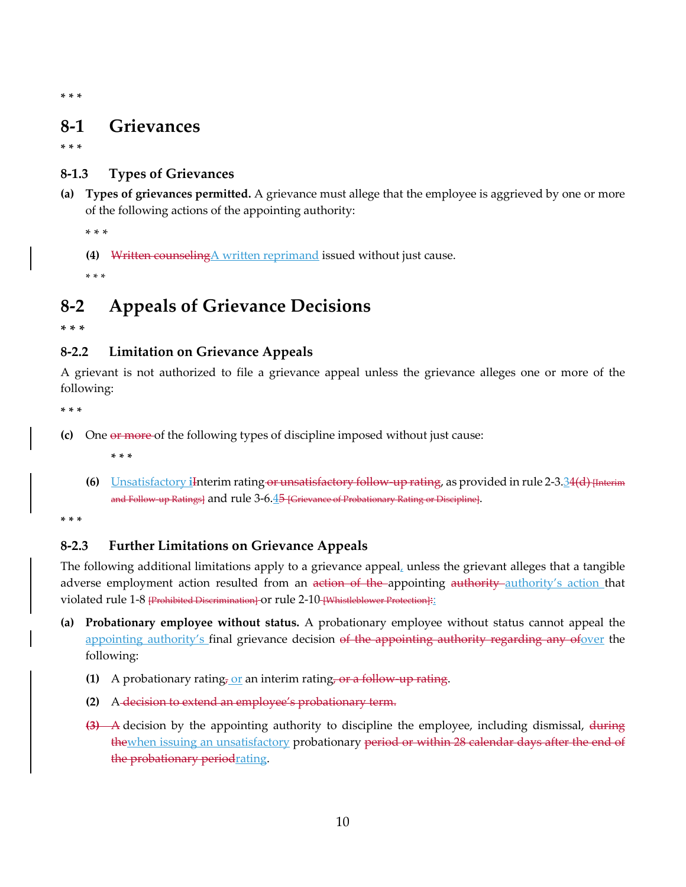**\* \* \***

## **8-1 Grievances**

**\* \* \***

## **8-1.3 Types of Grievances**

**(a) Types of grievances permitted.** A grievance must allege that the employee is aggrieved by one or more of the following actions of the appointing authority:

\* \* \*

**(4)** Written counselingA written reprimand issued without just cause.

\* \* \*

# **8-2 Appeals of Grievance Decisions**

**\* \* \***

## **8-2.2 Limitation on Grievance Appeals**

A grievant is not authorized to file a grievance appeal unless the grievance alleges one or more of the following:

**\* \* \***

**(c)** One or more of the following types of discipline imposed without just cause:

**\* \* \***

**(6)** Unsatisfactory **i**Interim rating or unsatisfactory follow-up rating, as provided in rule 2-3.34(d) [Interim and Follow up Ratings] and rule 3-6.45 [Grievance of Probationary Rating or Discipline].

**\* \* \***

## **8-2.3 Further Limitations on Grievance Appeals**

The following additional limitations apply to a grievance appeal, unless the grievant alleges that a tangible adverse employment action resulted from an action of the appointing authority authority's action that violated rule 1-8 [Prohibited Discrimination] or rule 2-10 [Whistleblower Protection]:

- **(a) Probationary employee without status.** A probationary employee without status cannot appeal the appointing authority's final grievance decision of the appointing authority regarding any ofover the following:
	- **(1)** A probationary rating, or an interim rating, or a follow-up rating.
	- **(2)** A decision to extend an employee's probationary term.
	- **(3)** A decision by the appointing authority to discipline the employee, including dismissal, during thewhen issuing an unsatisfactory probationary period or within 28 calendar days after the end of the probationary periodrating.